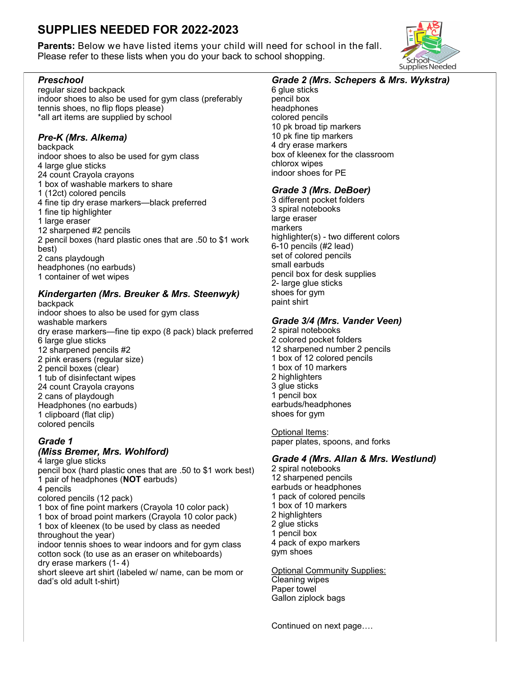# **SUPPLIES NEEDED FOR 2022-2023**

**Parents:** Below we have listed items your child will need for school in the fall. Please refer to these lists when you do your back to school shopping.

### *Preschool*

regular sized backpack indoor shoes to also be used for gym class (preferably tennis shoes, no flip flops please) \*all art items are supplied by school

## *Pre-K (Mrs. Alkema)*

backpack indoor shoes to also be used for gym class 4 large glue sticks 24 count Crayola crayons 1 box of washable markers to share 1 (12ct) colored pencils 4 fine tip dry erase markers—black preferred 1 fine tip highlighter 1 large eraser 12 sharpened #2 pencils 2 pencil boxes (hard plastic ones that are .50 to \$1 work best) 2 cans playdough headphones (no earbuds) 1 container of wet wipes

#### *Kindergarten (Mrs. Breuker & Mrs. Steenwyk)* backpack

indoor shoes to also be used for gym class washable markers dry erase markers—fine tip expo (8 pack) black preferred 6 large glue sticks 12 sharpened pencils #2 2 pink erasers (regular size) 2 pencil boxes (clear) 1 tub of disinfectant wipes 24 count Crayola crayons 2 cans of playdough Headphones (no earbuds) 1 clipboard (flat clip) colored pencils

#### *Grade 1 (Miss Bremer, Mrs. Wohlford)*

4 large glue sticks pencil box (hard plastic ones that are .50 to \$1 work best) 1 pair of headphones (**NOT** earbuds) 4 pencils colored pencils (12 pack) 1 box of fine point markers (Crayola 10 color pack)

1 box of broad point markers (Crayola 10 color pack)

1 box of kleenex (to be used by class as needed throughout the year)

indoor tennis shoes to wear indoors and for gym class cotton sock (to use as an eraser on whiteboards) dry erase markers (1- 4)

short sleeve art shirt (labeled w/ name, can be mom or dad's old adult t-shirt)

# *Grade 2 (Mrs. Schepers & Mrs. Wykstra)*

6 glue sticks pencil box headphones colored pencils 10 pk broad tip markers 10 pk fine tip markers 4 dry erase markers box of kleenex for the classroom chlorox wipes indoor shoes for PE

### *Grade 3 (Mrs. DeBoer)*

3 different pocket folders 3 spiral notebooks large eraser markers highlighter(s) - two different colors 6-10 pencils (#2 lead) set of colored pencils small earbuds pencil box for desk supplies 2- large glue sticks shoes for gym paint shirt

### *Grade 3/4 (Mrs. Vander Veen)*

2 spiral notebooks 2 colored pocket folders 12 sharpened number 2 pencils 1 box of 12 colored pencils 1 box of 10 markers 2 highlighters 3 glue sticks 1 pencil box earbuds/headphones shoes for gym

Optional Items: paper plates, spoons, and forks

# *Grade 4 (Mrs. Allan & Mrs. Westlund)*

2 spiral notebooks 12 sharpened pencils earbuds or headphones 1 pack of colored pencils 1 box of 10 markers 2 highlighters 2 glue sticks 1 pencil box 4 pack of expo markers gym shoes

Optional Community Supplies: Cleaning wipes Paper towel Gallon ziplock bags

Continued on next page….